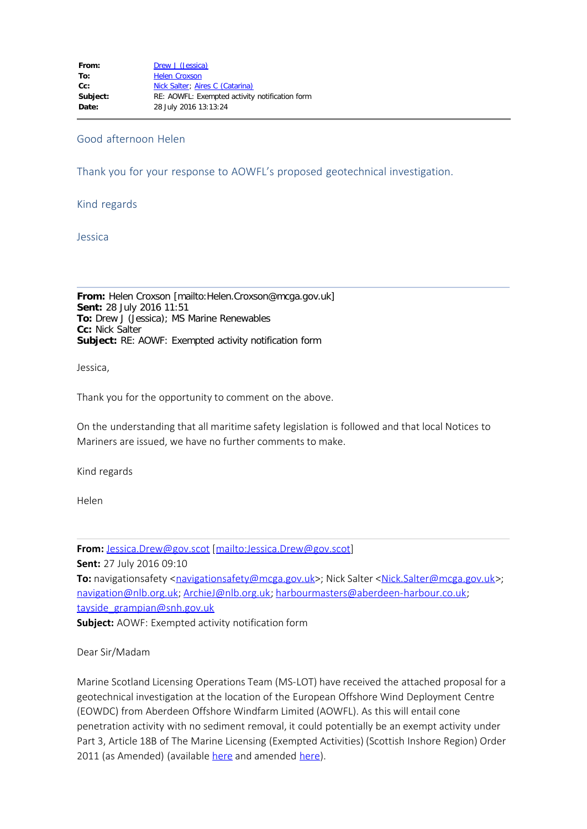## Good afternoon Helen

Thank you for your response to AOWFL's proposed geotechnical investigation.

Kind regards

Jessica

**From:** Helen Croxson [mailto:Helen.Croxson@mcga.gov.uk] **Sent:** 28 July 2016 11:51 **To:** Drew J (Jessica); MS Marine Renewables **Cc:** Nick Salter **Subject:** RE: AOWF: Exempted activity notification form

Jessica,

Thank you for the opportunity to comment on the above.

On the understanding that all maritime safety legislation is followed and that local Notices to Mariners are issued, we have no further comments to make.

Kind regards

Helen

**From:** [Jessica.Drew@gov.scot](mailto:Jessica.Drew@gov.scot) [[mailto:Jessica.Drew@gov.scot\]](mailto:Jessica.Drew@gov.scot)

**Sent:** 27 July 2016 09:10

**To:** navigationsafety <[navigationsafety@mcga.gov.uk>](mailto:navigationsafety@mcga.gov.uk); Nick Salter <[Nick.Salter@mcga.gov.uk>](mailto:Nick.Salter@mcga.gov.uk); [navigation@nlb.org.uk;](mailto:navigation@nlb.org.uk) [ArchieJ@nlb.org.uk;](mailto:ArchieJ@nlb.org.uk) [harbourmasters@aberdeen-harbour.co.uk;](mailto:harbourmasters@aberdeen-harbour.co.uk) [tayside\\_grampian@snh.gov.uk](mailto:tayside_grampian@snh.gov.uk)

**Subject:** AOWF: Exempted activity notification form

## Dear Sir/Madam

Marine Scotland Licensing Operations Team (MS-LOT) have received the attached proposal for a geotechnical investigation at the location of the European Offshore Wind Deployment Centre (EOWDC) from Aberdeen Offshore Windfarm Limited (AOWFL). As this will entail cone penetration activity with no sediment removal, it could potentially be an exempt activity under Part 3, Article 18B of The Marine Licensing (Exempted Activities) (Scottish Inshore Region) Order 2011 (as Amended) (available [here](http://www.legislation.gov.uk/ssi/2011/204/pdfs/ssi_20110204_en.pdf) and amended [here\)](http://www.legislation.gov.uk/ssi/2012/25/pdfs/ssi_20120025_en.pdf).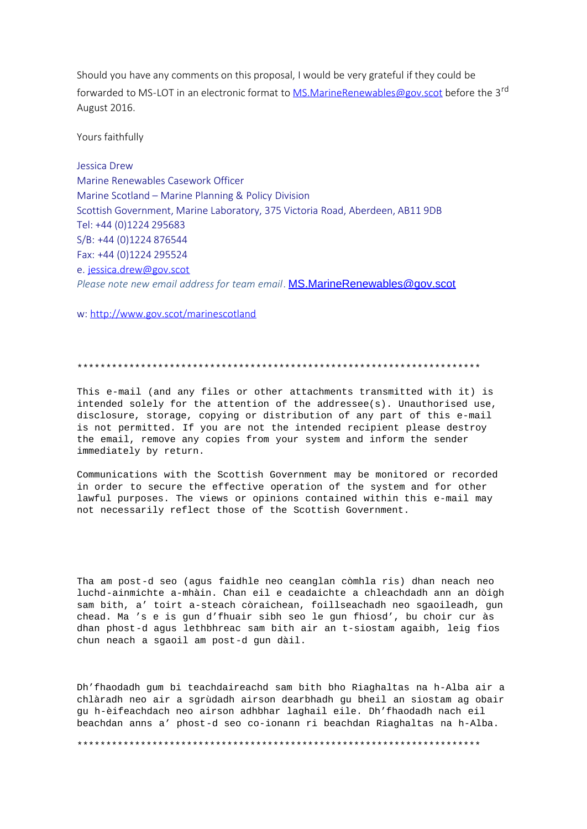Should you have any comments on this proposal, I would be very grateful if they could be forwarded to MS-LOT in an electronic format to [MS.MarineRenewables@gov.scot](mailto:MS.MarineRenewables@gov.scot) before the 3<sup>rd</sup> August 2016.

Yours faithfully

Jessica Drew Marine Renewables Casework Officer Marine Scotland – Marine Planning & Policy Division Scottish Government, Marine Laboratory, 375 Victoria Road, Aberdeen, AB11 9DB Tel: +44 (0)1224 295683 S/B: +44 (0)1224 876544 Fax: +44 (0)1224 295524 e. [jessica.drew@gov.scot](mailto:jessica.drew@scot.gov) *Please note new email address for team email*. [MS.MarineRenewables@gov.scot](mailto:MS.MarineRenewables@gov.scot)

w: <http://www.gov.scot/marinescotland>

## \*\*\*\*\*\*\*\*\*\*\*\*\*\*\*\*\*\*\*\*\*\*\*\*\*\*\*\*\*\*\*\*\*\*\*\*\*\*\*\*\*\*\*\*\*\*\*\*\*\*\*\*\*\*\*\*\*\*\*\*\*\*\*\*\*\*\*\*\*\*

This e-mail (and any files or other attachments transmitted with it) is intended solely for the attention of the addressee(s). Unauthorised use, disclosure, storage, copying or distribution of any part of this e-mail is not permitted. If you are not the intended recipient please destroy the email, remove any copies from your system and inform the sender immediately by return.

Communications with the Scottish Government may be monitored or recorded in order to secure the effective operation of the system and for other lawful purposes. The views or opinions contained within this e-mail may not necessarily reflect those of the Scottish Government.

Tha am post-d seo (agus faidhle neo ceanglan còmhla ris) dhan neach neo luchd-ainmichte a-mhàin. Chan eil e ceadaichte a chleachdadh ann an dòigh sam bith, a' toirt a-steach còraichean, foillseachadh neo sgaoileadh, gun chead. Ma 's e is gun d'fhuair sibh seo le gun fhiosd', bu choir cur às dhan phost-d agus lethbhreac sam bith air an t-siostam agaibh, leig fios chun neach a sgaoil am post-d gun dàil.

Dh'fhaodadh gum bi teachdaireachd sam bith bho Riaghaltas na h-Alba air a chlàradh neo air a sgrùdadh airson dearbhadh gu bheil an siostam ag obair gu h-èifeachdach neo airson adhbhar laghail eile. Dh'fhaodadh nach eil beachdan anns a' phost-d seo co-ionann ri beachdan Riaghaltas na h-Alba.

\*\*\*\*\*\*\*\*\*\*\*\*\*\*\*\*\*\*\*\*\*\*\*\*\*\*\*\*\*\*\*\*\*\*\*\*\*\*\*\*\*\*\*\*\*\*\*\*\*\*\*\*\*\*\*\*\*\*\*\*\*\*\*\*\*\*\*\*\*\*